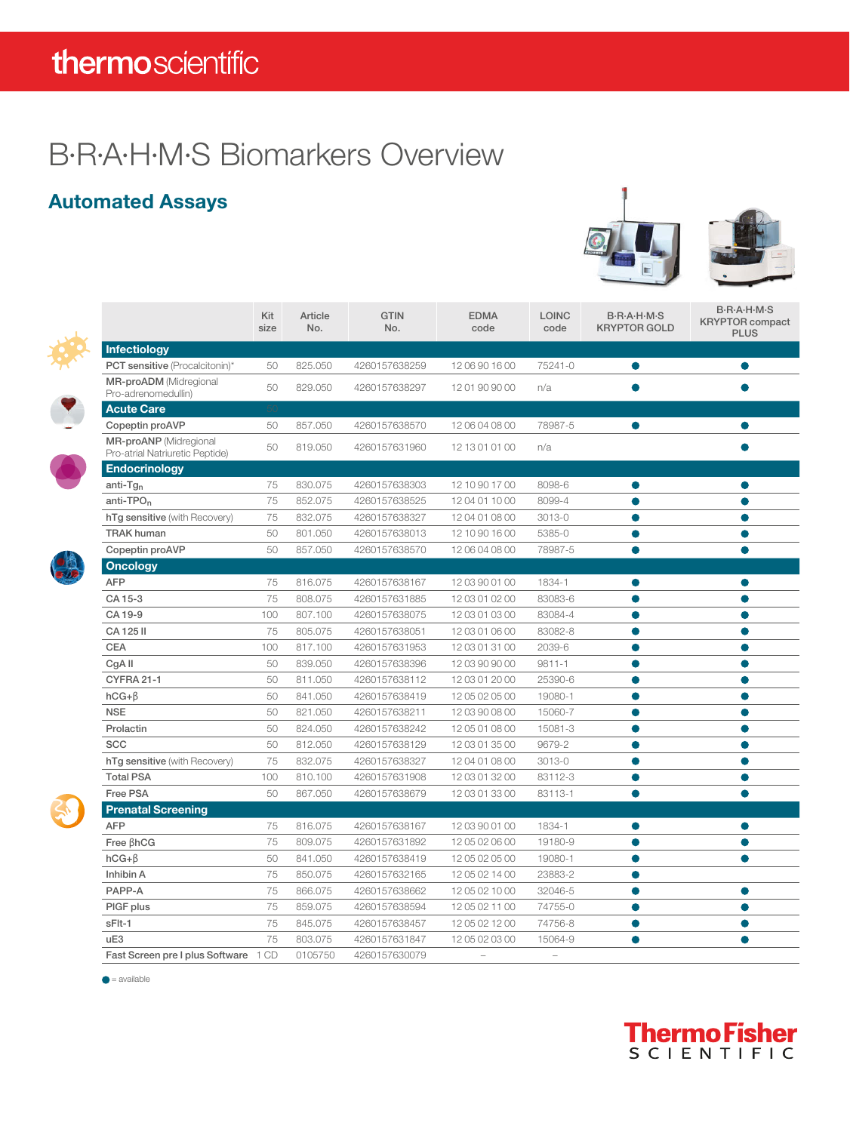## thermoscientific

## B·R·A·H·M·S Biomarkers Overview

#### Automated Assays



|  |                                                                  | Kit<br>size | Article<br>No. | <b>GTIN</b><br>No. | <b>EDMA</b><br>code | <b>LOINC</b><br>code | B-R-A-H-M-S<br><b>KRYPTOR GOLD</b> | <b>B-R-A-H-M-S</b><br><b>KRYPTOR</b> compact<br><b>PLUS</b> |
|--|------------------------------------------------------------------|-------------|----------------|--------------------|---------------------|----------------------|------------------------------------|-------------------------------------------------------------|
|  | <b>Infectiology</b>                                              |             |                |                    |                     |                      |                                    |                                                             |
|  | <b>PCT sensitive</b> (Procalcitonin)*                            | 50          | 825.050        | 4260157638259      | 1206901600          | 75241-0              | 0                                  | Ο                                                           |
|  | <b>MR-proADM</b> (Midregional<br>Pro-adrenomedullin)             | 50          | 829.050        | 4260157638297      | 12 01 90 90 00      | n/a                  |                                    |                                                             |
|  | <b>Acute Care</b>                                                |             |                |                    |                     |                      |                                    |                                                             |
|  | Copeptin proAVP                                                  | 50          | 857.050        | 4260157638570      | 12 06 04 08 00      | 78987-5              | $\bullet$                          | $\bullet$                                                   |
|  | <b>MR-proANP</b> (Midregional<br>Pro-atrial Natriuretic Peptide) | 50          | 819.050        | 4260157631960      | 12 13 01 01 00      | n/a                  |                                    |                                                             |
|  | <b>Endocrinology</b>                                             |             |                |                    |                     |                      |                                    |                                                             |
|  | $anti-Tgn$                                                       | 75          | 830.075        | 4260157638303      | 12 10 90 17 00      | 8098-6               | O                                  | O                                                           |
|  | $anti-TPOn$                                                      | 75          | 852.075        | 4260157638525      | 12 04 01 10 00      | 8099-4               | ●                                  |                                                             |
|  | hTg sensitive (with Recovery)                                    | 75          | 832.075        | 4260157638327      | 12 04 01 08 00      | 3013-0               | ●                                  |                                                             |
|  | <b>TRAK human</b>                                                | 50          | 801.050        | 4260157638013      | 12 10 90 16 00      | 5385-0               | $\bullet$                          | $\bullet$                                                   |
|  | Copeptin proAVP                                                  | 50          | 857.050        | 4260157638570      | 12 06 04 08 00      | 78987-5              | $\bullet$                          | $\bullet$                                                   |
|  | <b>Oncology</b>                                                  |             |                |                    |                     |                      |                                    |                                                             |
|  | <b>AFP</b>                                                       | 75          | 816.075        | 4260157638167      | 12 03 90 01 00      | 1834-1               | O                                  |                                                             |
|  | CA 15-3                                                          | 75          | 808.075        | 4260157631885      | 12 03 01 02 00      | 83083-6              | ●                                  | ●                                                           |
|  | CA 19-9                                                          | 100         | 807.100        | 4260157638075      | 12 03 01 03 00      | 83084-4              | $\bullet$                          | $\bullet$                                                   |
|  | CA 125 II                                                        | 75          | 805.075        | 4260157638051      | 12 03 01 06 00      | 83082-8              | $\bullet$                          | $\bullet$                                                   |
|  | <b>CEA</b>                                                       | 100         | 817.100        | 4260157631953      | 12 03 01 31 00      | 2039-6               | ●                                  | Ο                                                           |
|  | CgA II                                                           | 50          | 839.050        | 4260157638396      | 12 03 90 90 00      | $9811 - 1$           |                                    |                                                             |
|  | <b>CYFRA 21-1</b>                                                | 50          | 811.050        | 4260157638112      | 12 03 01 20 00      | 25390-6              |                                    |                                                             |
|  | $hCG + \beta$                                                    | 50          | 841.050        | 4260157638419      | 12 05 02 05 00      | 19080-1              | $\bullet$                          |                                                             |
|  | <b>NSE</b>                                                       | 50          | 821.050        | 4260157638211      | 12 03 90 08 00      | 15060-7              | $\bullet$                          | $\bullet$                                                   |
|  | Prolactin                                                        | 50          | 824.050        | 4260157638242      | 12 05 01 08 00      | 15081-3              | $\bullet$                          | $\bullet$                                                   |
|  | <b>SCC</b>                                                       | 50          | 812.050        | 4260157638129      | 12 03 01 35 00      | 9679-2               | ●                                  |                                                             |
|  | hTg sensitive (with Recovery)                                    | 75          | 832.075        | 4260157638327      | 12 04 01 08 00      | 3013-0               | $\bullet$                          |                                                             |
|  | <b>Total PSA</b>                                                 | 100         | 810.100        | 4260157631908      | 12 03 01 32 00      | 83112-3              |                                    |                                                             |
|  | Free PSA                                                         | 50          | 867.050        | 4260157638679      | 12 03 01 33 00      | 83113-1              | $\bullet$                          | $\bullet$                                                   |
|  | <b>Prenatal Screening</b>                                        |             |                |                    |                     |                      |                                    |                                                             |
|  | <b>AFP</b>                                                       | 75          | 816.075        | 4260157638167      | 12 03 90 01 00      | 1834-1               | ●                                  | $\bullet$                                                   |
|  | Free BhCG                                                        | 75          | 809.075        | 4260157631892      | 12 05 02 06 00      | 19180-9              |                                    | $\bullet$                                                   |
|  | $hCG + \beta$                                                    | 50          | 841.050        | 4260157638419      | 12 05 02 05 00      | 19080-1              | $\bullet$                          |                                                             |
|  | Inhibin A                                                        | 75          | 850.075        | 4260157632165      | 12 05 02 14 00      | 23883-2              | $\bullet$                          |                                                             |
|  | PAPP-A                                                           | 75          | 866.075        | 4260157638662      | 12 05 02 10 00      | 32046-5              | $\bullet$                          | $\bullet$                                                   |
|  | PIGF plus                                                        | 75          | 859.075        | 4260157638594      | 12 05 02 11 00      | 74755-0              | $\bullet$                          | $\bullet$                                                   |
|  | sFlt-1                                                           | 75          | 845.075        | 4260157638457      | 12 05 02 12 00      | 74756-8              | $\bullet$                          | ●                                                           |
|  | uE3                                                              | 75          | 803.075        | 4260157631847      | 12 05 02 03 00      | 15064-9              | $\bullet$                          | ●                                                           |
|  | Fast Screen pre I plus Software 1 CD                             |             | 0105750        | 4260157630079      | $\sim$              | $\equiv$             |                                    |                                                             |

 $\bullet$  = available